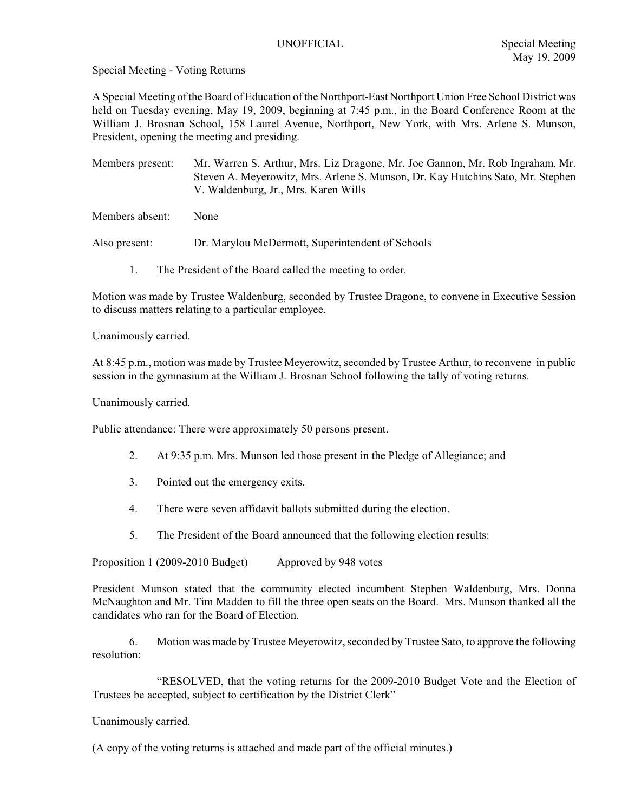Special Meeting - Voting Returns

A Special Meeting of the Board of Education of the Northport-East Northport Union Free School District was held on Tuesday evening, May 19, 2009, beginning at 7:45 p.m., in the Board Conference Room at the William J. Brosnan School, 158 Laurel Avenue, Northport, New York, with Mrs. Arlene S. Munson, President, opening the meeting and presiding.

Members present: Mr. Warren S. Arthur, Mrs. Liz Dragone, Mr. Joe Gannon, Mr. Rob Ingraham, Mr. Steven A. Meyerowitz, Mrs. Arlene S. Munson, Dr. Kay Hutchins Sato, Mr. Stephen V. Waldenburg, Jr., Mrs. Karen Wills

Members absent: None

Also present: Dr. Marylou McDermott, Superintendent of Schools

1. The President of the Board called the meeting to order.

Motion was made by Trustee Waldenburg, seconded by Trustee Dragone, to convene in Executive Session to discuss matters relating to a particular employee.

Unanimously carried.

At 8:45 p.m., motion was made by Trustee Meyerowitz, seconded by Trustee Arthur, to reconvene in public session in the gymnasium at the William J. Brosnan School following the tally of voting returns.

Unanimously carried.

Public attendance: There were approximately 50 persons present.

- 2. At 9:35 p.m. Mrs. Munson led those present in the Pledge of Allegiance; and
- 3. Pointed out the emergency exits.
- 4. There were seven affidavit ballots submitted during the election.
- 5. The President of the Board announced that the following election results:

Proposition 1 (2009-2010 Budget) Approved by 948 votes

President Munson stated that the community elected incumbent Stephen Waldenburg, Mrs. Donna McNaughton and Mr. Tim Madden to fill the three open seats on the Board. Mrs. Munson thanked all the candidates who ran for the Board of Election.

6. Motion was made by Trustee Meyerowitz, seconded by Trustee Sato, to approve the following resolution:

"RESOLVED, that the voting returns for the 2009-2010 Budget Vote and the Election of Trustees be accepted, subject to certification by the District Clerk"

Unanimously carried.

(A copy of the voting returns is attached and made part of the official minutes.)